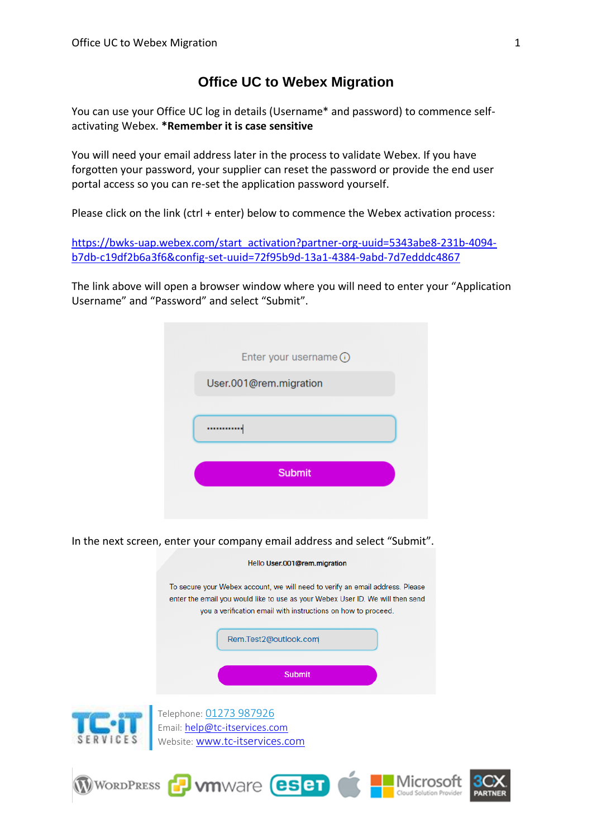## **Office UC to Webex Migration**

You can use your Office UC log in details (Username\* and password) to commence selfactivating Webex. **\*Remember it is case sensitive**

You will need your email address later in the process to validate Webex. If you have forgotten your password, your supplier can reset the password or provide the end user portal access so you can re-set the application password yourself.

Please click on the link (ctrl + enter) below to commence the Webex activation process:

[https://bwks-uap.webex.com/start\\_activation?partner-org-uuid=5343abe8-231b-4094](https://bwks-uap.webex.com/start_activation?partner-org-uuid=5343abe8-231b-4094-b7db-c19df2b6a3f6&config-set-uuid=72f95b9d-13a1-4384-9abd-7d7edddc4867) [b7db-c19df2b6a3f6&config-set-uuid=72f95b9d-13a1-4384-9abd-7d7edddc4867](https://bwks-uap.webex.com/start_activation?partner-org-uuid=5343abe8-231b-4094-b7db-c19df2b6a3f6&config-set-uuid=72f95b9d-13a1-4384-9abd-7d7edddc4867)

The link above will open a browser window where you will need to enter your "Application Username" and "Password" and select "Submit".

| Enter your username (i) |  |
|-------------------------|--|
| User.001@rem.migration  |  |
|                         |  |
|                         |  |
|                         |  |
| <b>Submit</b>           |  |
|                         |  |

In the next screen, enter your company email address and select "Submit".



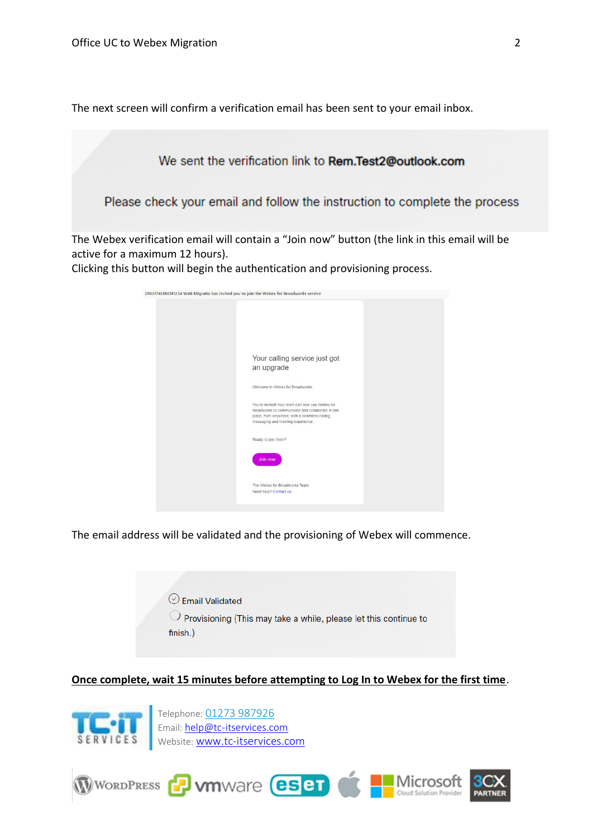The next screen will confirm a verification email has been sent to your email inbox.



Clicking this button will begin the authentication and provisioning process.



The email address will be validated and the provisioning of Webex will commence.



**Once complete, wait 15 minutes before attempting to Log In to Webex for the first time**.



Telephone: [01273 987926](tel:01273%20987926) Email: [help@tc-itservices.com](mailto:help@tc-itservices.com) Website: **[www.tc-itservices.com](http://www.tc-itservices.com/)** 

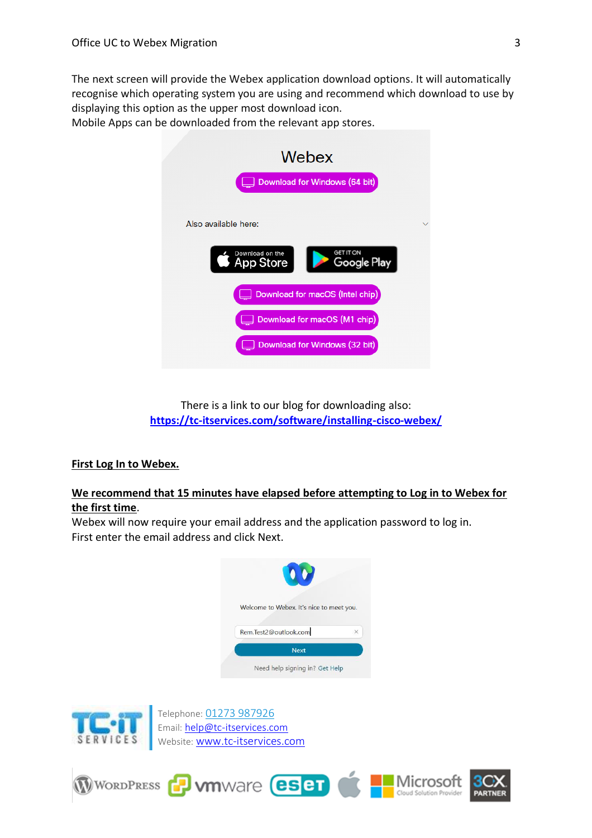The next screen will provide the Webex application download options. It will automatically recognise which operating system you are using and recommend which download to use by displaying this option as the upper most download icon.

Mobile Apps can be downloaded from the relevant app stores.



There is a link to our blog for downloading also: **<https://tc-itservices.com/software/installing-cisco-webex/>**

## **First Log In to Webex.**

## **We recommend that 15 minutes have elapsed before attempting to Log in to Webex for the first time**.

Webex will now require your email address and the application password to log in. First enter the email address and click Next.





Telephone: [01273 987926](tel:01273%20987926) Email: [help@tc-itservices.com](mailto:help@tc-itservices.com) Website: [www.tc-itservices.com](http://www.tc-itservices.com/)